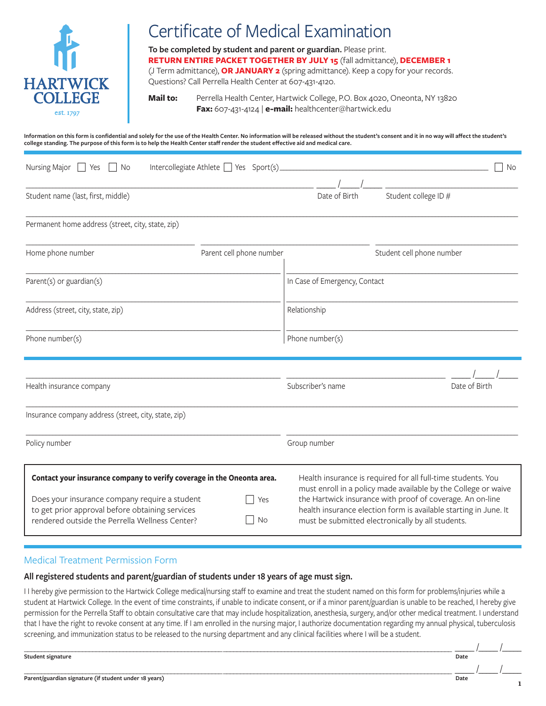

# Certificate of Medical Examination

**To be completed by student and parent or guardian.** Please print. **RETURN ENTIRE PACKET TOGETHER BY JULY 15** (fall admittance), **DECEMBER 1**  (J Term admittance), **OR JANUARY 2** (spring admittance). Keep a copy for your records. Questions? Call Perrella Health Center at 607-431-4120.

**Mail to:** Perrella Health Center, Hartwick College, P.O. Box 4020, Oneonta, NY 13820 **Fax:** 607-431-4124 | **e-mail:** healthcenter@hartwick.edu

**Information on this form is confidential and solely for the use of the Health Center. No information will be released without the student's consent and it in no way will affect the student's college standing. The purpose of this form is to help the Health Center staff render the student effective aid and medical care.**

| Nursing Major $\Box$ Yes<br>$ $   No                                                                                                               | Intercollegiate Athlete $\Box$ Yes Sport(s). |                               |                                                                                                                                                                                    | No |
|----------------------------------------------------------------------------------------------------------------------------------------------------|----------------------------------------------|-------------------------------|------------------------------------------------------------------------------------------------------------------------------------------------------------------------------------|----|
| Student name (last, first, middle)                                                                                                                 |                                              | Date of Birth                 | Student college ID #                                                                                                                                                               |    |
| Permanent home address (street, city, state, zip)                                                                                                  |                                              |                               |                                                                                                                                                                                    |    |
| Home phone number                                                                                                                                  | Parent cell phone number                     |                               | Student cell phone number                                                                                                                                                          |    |
| Parent(s) or guardian(s)                                                                                                                           |                                              | In Case of Emergency, Contact |                                                                                                                                                                                    |    |
| Address (street, city, state, zip)                                                                                                                 |                                              | Relationship                  |                                                                                                                                                                                    |    |
| Phone number(s)                                                                                                                                    |                                              | Phone number(s)               |                                                                                                                                                                                    |    |
| Health insurance company                                                                                                                           |                                              | Subscriber's name             | Date of Birth                                                                                                                                                                      |    |
| Insurance company address (street, city, state, zip)                                                                                               |                                              |                               |                                                                                                                                                                                    |    |
| Policy number                                                                                                                                      |                                              | Group number                  |                                                                                                                                                                                    |    |
| Contact your insurance company to verify coverage in the Oneonta area.                                                                             |                                              |                               | Health insurance is required for all full-time students. You<br>must enroll in a policy made available by the College or waive                                                     |    |
| Does your insurance company require a student<br>to get prior approval before obtaining services<br>rendered outside the Perrella Wellness Center? | Yes<br>No                                    |                               | the Hartwick insurance with proof of coverage. An on-line<br>health insurance election form is available starting in June. It<br>must be submitted electronically by all students. |    |

#### Medical Treatment Permission Form

#### **All registered students and parent/guardian of students under 18 years of age must sign.**

I I hereby give permission to the Hartwick College medical/nursing staff to examine and treat the student named on this form for problems/injuries while a student at Hartwick College. In the event of time constraints, if unable to indicate consent, or if a minor parent/guardian is unable to be reached, I hereby give permission for the Perrella Staff to obtain consultative care that may include hospitalization, anesthesia, surgery, and/or other medical treatment. I understand that I have the right to revoke consent at any time. If I am enrolled in the nursing major, I authorize documentation regarding my annual physical, tuberculosis screening, and immunization status to be released to the nursing department and any clinical facilities where I will be a student.

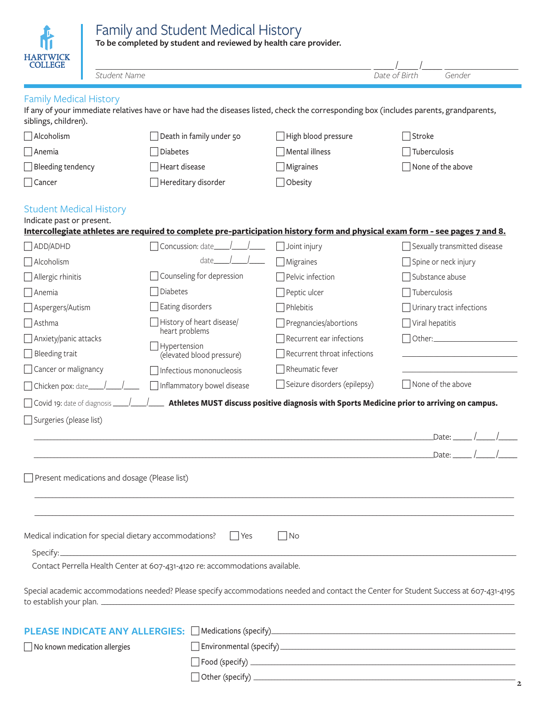# Family and Student Medical History

青

**To be completed by student and reviewed by health care provider.**

| <b>HARTWICK</b><br><b>COLLEGE</b>                           |                                              |                                                                                                                                         |                                                                                            |                                       |        |  |
|-------------------------------------------------------------|----------------------------------------------|-----------------------------------------------------------------------------------------------------------------------------------------|--------------------------------------------------------------------------------------------|---------------------------------------|--------|--|
|                                                             | Student Name                                 |                                                                                                                                         |                                                                                            | Date of Birth                         | Gender |  |
| <b>Family Medical History</b><br>siblings, children).       |                                              | If any of your immediate relatives have or have had the diseases listed, check the corresponding box (includes parents, grandparents,   |                                                                                            |                                       |        |  |
| Alcoholism                                                  |                                              | Death in family under 50                                                                                                                | High blood pressure                                                                        | Stroke                                |        |  |
| Anemia                                                      |                                              | <b>Diabetes</b>                                                                                                                         | Mental illness                                                                             | Tuberculosis                          |        |  |
| Bleeding tendency                                           |                                              | Heart disease                                                                                                                           | $\exists$ Migraines                                                                        | None of the above                     |        |  |
| $\exists$ Cancer                                            |                                              | Hereditary disorder                                                                                                                     | Obesity                                                                                    |                                       |        |  |
| <b>Student Medical History</b><br>Indicate past or present. |                                              | Intercollegiate athletes are required to complete pre-participation history form and physical exam form - see pages 7 and 8.            |                                                                                            |                                       |        |  |
| ADD/ADHD                                                    |                                              | Concussion: date                                                                                                                        | $\Box$ Joint injury                                                                        | Sexually transmitted disease          |        |  |
| Alcoholism                                                  |                                              | date                                                                                                                                    | Migraines                                                                                  | Spine or neck injury                  |        |  |
| $\Box$ Allergic rhinitis                                    |                                              | Counseling for depression                                                                                                               | Pelvic infection                                                                           | Substance abuse                       |        |  |
| $\Box$ Anemia                                               |                                              | Diabetes                                                                                                                                | $\Box$ Peptic ulcer                                                                        | Tuberculosis                          |        |  |
| Aspergers/Autism                                            |                                              | Eating disorders                                                                                                                        | $\exists$ Phlebitis                                                                        | Urinary tract infections              |        |  |
| $\exists$ Asthma                                            |                                              | History of heart disease/                                                                                                               | Pregnancies/abortions                                                                      | Viral hepatitis                       |        |  |
| $\Box$ Anxiety/panic attacks                                |                                              | heart problems                                                                                                                          | Recurrent ear infections                                                                   | $7$ Other: $\_\_\_\_\_\_\_\_\_\_\_\_$ |        |  |
| $\Box$ Bleeding trait                                       |                                              | Hypertension<br>(elevated blood pressure)                                                                                               | Recurrent throat infections                                                                |                                       |        |  |
| Cancer or malignancy                                        |                                              | Infectious mononucleosis                                                                                                                | Rheumatic fever                                                                            |                                       |        |  |
| Chicken pox: date_                                          |                                              | Inflammatory bowel disease                                                                                                              | Seizure disorders (epilepsy)                                                               | None of the above                     |        |  |
| Covid 19: date of diagnosis                                 |                                              |                                                                                                                                         | Athletes MUST discuss positive diagnosis with Sports Medicine prior to arriving on campus. |                                       |        |  |
| Surgeries (please list)                                     |                                              |                                                                                                                                         |                                                                                            |                                       |        |  |
|                                                             |                                              |                                                                                                                                         |                                                                                            | Date:                                 |        |  |
|                                                             |                                              |                                                                                                                                         |                                                                                            | _Date: _                              |        |  |
|                                                             | Present medications and dosage (Please list) |                                                                                                                                         |                                                                                            |                                       |        |  |
|                                                             |                                              | Medical indication for special dietary accommodations? $\Box$ Yes                                                                       | $\vert$ $\vert$ No                                                                         |                                       |        |  |
|                                                             |                                              | Contact Perrella Health Center at 607-431-4120 re: accommodations available.                                                            |                                                                                            |                                       |        |  |
|                                                             |                                              | Special academic accommodations needed? Please specify accommodations needed and contact the Center for Student Success at 607-431-4195 |                                                                                            |                                       |        |  |
|                                                             |                                              |                                                                                                                                         |                                                                                            |                                       |        |  |
| No known medication allergies                               |                                              |                                                                                                                                         |                                                                                            |                                       |        |  |
|                                                             |                                              |                                                                                                                                         |                                                                                            |                                       |        |  |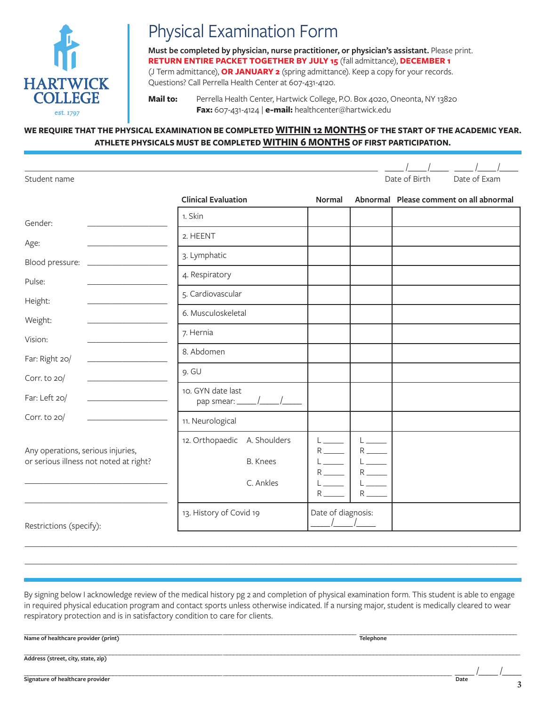

# Physical Examination Form

**Must be completed by physician, nurse practitioner, or physician's assistant.** Please print. **RETURN ENTIRE PACKET TOGETHER BY JULY 15** (fall admittance), **DECEMBER 1**  (J Term admittance), **OR JANUARY 2** (spring admittance). Keep a copy for your records. Questions? Call Perrella Health Center at 607-431-4120.

**Mail to:** Perrella Health Center, Hartwick College, P.O. Box 4020, Oneonta, NY 13820 **Fax:** 607-431-4124 | **e-mail:** healthcenter@hartwick.edu

## **WE REQUIRE THAT THE PHYSICAL EXAMINATION BE COMPLETED WITHIN 12 MONTHS OF THE START OF THE ACADEMIC YEAR. ATHLETE PHYSICALS MUST BE COMPLETED WITHIN 6 MONTHS OF FIRST PARTICIPATION.**

| Student name                                                                                                                                                                                                                                            |                                                              |                                                                                                       | Date of Birth<br>Date of Exam           |
|---------------------------------------------------------------------------------------------------------------------------------------------------------------------------------------------------------------------------------------------------------|--------------------------------------------------------------|-------------------------------------------------------------------------------------------------------|-----------------------------------------|
|                                                                                                                                                                                                                                                         | <b>Clinical Evaluation</b>                                   | <b>Normal</b>                                                                                         | Abnormal Please comment on all abnormal |
| Gender:                                                                                                                                                                                                                                                 | 1. Skin                                                      |                                                                                                       |                                         |
| Age:                                                                                                                                                                                                                                                    | 2. HEENT                                                     |                                                                                                       |                                         |
| Blood pressure:<br><u> 1980 - Jan Stein Stein Stein Stein Stein Stein Stein Stein Stein Stein Stein Stein Stein Stein Stein Stein Stein Stein Stein Stein Stein Stein Stein Stein Stein Stein Stein Stein Stein Stein Stein Stein Stein Stein Stein</u> | 3. Lymphatic                                                 |                                                                                                       |                                         |
| Pulse:                                                                                                                                                                                                                                                  | 4. Respiratory                                               |                                                                                                       |                                         |
| Height:                                                                                                                                                                                                                                                 | 5. Cardiovascular                                            |                                                                                                       |                                         |
| Weight:                                                                                                                                                                                                                                                 | 6. Musculoskeletal                                           |                                                                                                       |                                         |
| Vision:                                                                                                                                                                                                                                                 | 7. Hernia                                                    |                                                                                                       |                                         |
| Far: Right 20/                                                                                                                                                                                                                                          | 8. Abdomen                                                   |                                                                                                       |                                         |
| Corr. to 20/                                                                                                                                                                                                                                            | 9. GU                                                        |                                                                                                       |                                         |
| Far: Left 20/                                                                                                                                                                                                                                           | 10. GYN date last                                            |                                                                                                       |                                         |
| Corr. to 20/                                                                                                                                                                                                                                            | 11. Neurological                                             |                                                                                                       |                                         |
| Any operations, serious injuries,<br>or serious illness not noted at right?                                                                                                                                                                             | 12. Orthopaedic A. Shoulders<br><b>B.</b> Knees<br>C. Ankles | $L_{\rm max}$<br>Listen in the sea<br>$R$ <sub>----</sub><br>$R_{\text{max}}$<br>$R \frac{L}{L}$<br>R |                                         |
| Restrictions (specify):                                                                                                                                                                                                                                 | 13. History of Covid 19                                      | Date of diagnosis:                                                                                    |                                         |

By signing below I acknowledge review of the medical history pg 2 and completion of physical examination form. This student is able to engage in required physical education program and contact sports unless otherwise indicated. If a nursing major, student is medically cleared to wear respiratory protection and is in satisfactory condition to care for clients.

\_\_\_\_\_\_\_\_\_\_\_\_\_\_\_\_\_\_\_\_\_\_\_\_\_\_\_\_\_\_\_\_\_\_\_\_\_\_\_\_\_\_\_\_\_\_\_\_\_\_\_\_\_\_\_\_\_\_\_\_\_\_\_\_\_\_\_\_\_\_\_\_\_\_\_\_\_\_\_\_\_\_\_\_\_\_\_\_\_\_\_\_\_\_\_\_\_\_\_\_\_\_\_\_\_\_\_\_\_\_\_\_\_\_\_\_\_\_\_\_\_\_\_\_\_\_\_\_\_\_\_\_\_\_\_\_\_\_\_\_\_\_\_\_\_\_\_\_\_

\_\_\_\_\_\_\_\_\_\_\_\_\_\_\_\_\_\_\_\_\_\_\_\_\_\_\_\_\_\_\_\_\_\_\_\_\_\_\_\_\_\_\_\_\_\_\_\_\_\_\_\_\_\_\_\_\_\_\_\_\_\_\_\_\_\_\_\_\_\_\_\_\_\_\_\_\_\_\_\_\_\_\_\_\_\_\_\_\_\_\_\_\_\_\_\_\_\_\_\_\_\_\_\_\_\_\_\_\_\_\_\_\_\_\_\_\_\_\_\_\_\_\_\_\_\_\_\_\_\_\_\_\_\_\_\_\_\_\_\_\_\_\_\_\_\_\_\_\_

Name of healthcare provider (print) and the state of healthcare provider (print) and the state of healthcare provider (print) and the state of healthcare provider (print) and the state of healthcare provider (print) and th

\_\_\_\_\_\_\_\_\_\_\_\_\_\_\_\_\_\_\_\_\_\_\_\_\_\_\_\_\_\_\_\_\_\_\_\_\_\_\_\_\_\_\_\_\_\_\_\_\_\_\_\_\_\_\_\_\_\_ \_\_\_\_\_\_\_\_\_\_\_\_\_\_\_\_\_\_\_\_\_\_\_\_\_\_\_\_\_\_\_\_\_\_\_\_\_\_\_\_\_\_\_\_\_\_\_\_\_\_\_\_\_\_\_\_\_\_\_\_\_\_\_\_\_\_\_\_\_\_\_\_\_\_\_\_\_\_\_\_\_\_\_\_\_\_\_ **Address (street, city, state, zip)** 

 $\frac{1}{2}$  ,  $\frac{1}{2}$  ,  $\frac{1}{2}$  ,  $\frac{1}{2}$  ,  $\frac{1}{2}$  ,  $\frac{1}{2}$  ,  $\frac{1}{2}$  ,  $\frac{1}{2}$  ,  $\frac{1}{2}$  ,  $\frac{1}{2}$  ,  $\frac{1}{2}$  ,  $\frac{1}{2}$  ,  $\frac{1}{2}$  ,  $\frac{1}{2}$  ,  $\frac{1}{2}$  ,  $\frac{1}{2}$  ,  $\frac{1}{2}$  ,  $\frac{1}{2}$  ,  $\frac{1$ \_\_\_\_\_ **Signature of healthcare provider Date**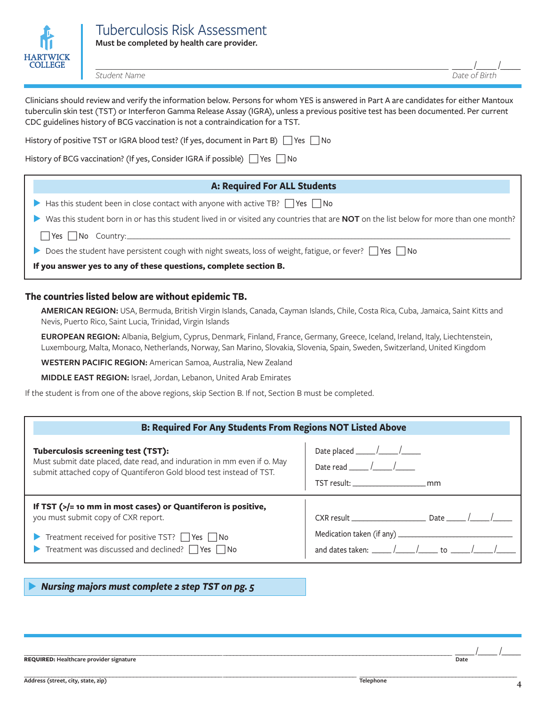

*Student Name Date of Birth*

\_\_\_\_\_\_\_\_\_\_\_\_\_\_\_\_\_\_\_\_\_\_\_\_\_\_\_\_\_\_\_\_\_\_\_\_\_\_\_\_\_\_\_\_\_\_\_\_\_\_\_\_\_\_\_\_\_\_\_\_\_\_\_\_\_\_\_\_\_\_\_\_\_\_\_\_\_\_\_\_\_\_\_\_\_\_\_\_\_\_\_ \_\_\_\_\_ /\_\_\_\_\_ /\_\_\_\_\_

Clinicians should review and verify the information below. Persons for whom YES is answered in Part A are candidates for either Mantoux tuberculin skin test (TST) or Interferon Gamma Release Assay (IGRA), unless a previous positive test has been documented. Per current CDC guidelines history of BCG vaccination is not a contraindication for a TST.

History of positive TST or IGRA blood test? (If yes, document in Part B)  $\Box$  Yes  $\Box$  No

History of BCG vaccination? (If yes, Consider IGRA if possible)  $\Box$  Yes  $\Box$  No

| <b>A: Required For ALL Students</b>                                                     |
|-----------------------------------------------------------------------------------------|
| Has this student been in close contact with anyone with active TB? $\Box$ Yes $\Box$ No |

u Was this student born in or has this student lived in or visited any countries that are **NOT** on the list below for more than one month?

 $\Box$  Yes  $\Box$  No Country:

Does the student have persistent cough with night sweats, loss of weight, fatigue, or fever?  $\Box$  Yes  $\Box$  No

**If you answer yes to any of these questions, complete section B.** 

## **The countries listed below are without epidemic TB.**

**AMERICAN REGION:** USA, Bermuda, British Virgin Islands, Canada, Cayman Islands, Chile, Costa Rica, Cuba, Jamaica, Saint Kitts and Nevis, Puerto Rico, Saint Lucia, Trinidad, Virgin Islands

**EUROPEAN REGION:** Albania, Belgium, Cyprus, Denmark, Finland, France, Germany, Greece, Iceland, Ireland, Italy, Liechtenstein, Luxembourg, Malta, Monaco, Netherlands, Norway, San Marino, Slovakia, Slovenia, Spain, Sweden, Switzerland, United Kingdom

**WESTERN PACIFIC REGION:** American Samoa, Australia, New Zealand

**MIDDLE EAST REGION:** Israel, Jordan, Lebanon, United Arab Emirates

If the student is from one of the above regions, skip Section B. If not, Section B must be completed.

| <b>B: Required For Any Students From Regions NOT Listed Above</b>                                                                                                                                                                                                             |                                                                                                                   |  |  |
|-------------------------------------------------------------------------------------------------------------------------------------------------------------------------------------------------------------------------------------------------------------------------------|-------------------------------------------------------------------------------------------------------------------|--|--|
| <b>Tuberculosis screening test (TST):</b><br>Must submit date placed, date read, and induration in mm even if o. May<br>submit attached copy of Quantiferon Gold blood test instead of TST.                                                                                   | Date placed $\frac{1}{\sqrt{1-\frac{1}{2}}}\sqrt{1-\frac{1}{2}}$<br>Date read $\frac{1}{\sqrt{2}}$ /              |  |  |
| If TST $\left(\frac{1}{2}\right)$ = 10 mm in most cases) or Quantiferon is positive,<br>you must submit copy of CXR report.<br>Treatment received for positive TST? $\Box$ Yes $\Box$ No<br>$\triangleright$ Treatment was discussed and declined? $\square$ Yes $\square$ No | $CXR$ result $\qquad \qquad$ Date $\qquad \qquad$<br>and dates taken: _____ /_____ /______ to _____ /_____ /_____ |  |  |

u *Nursing majors must complete 2 step TST on pg. 5*

\_\_\_\_\_\_\_\_\_\_\_\_\_\_\_\_\_\_\_\_\_\_\_\_\_\_\_\_\_\_\_\_\_\_\_\_\_\_\_\_\_\_\_\_\_\_\_\_\_\_\_\_\_\_\_\_\_\_ \_\_\_\_\_\_\_\_\_\_\_\_\_\_\_\_\_\_\_\_\_\_\_\_\_\_\_\_\_\_\_\_\_\_\_\_\_\_\_\_\_\_\_\_\_\_\_\_\_\_\_\_\_\_\_\_\_\_\_\_\_\_\_\_\_\_\_ \_\_\_\_\_ /  $R$  **REQUIRED:** Healthcare provider signature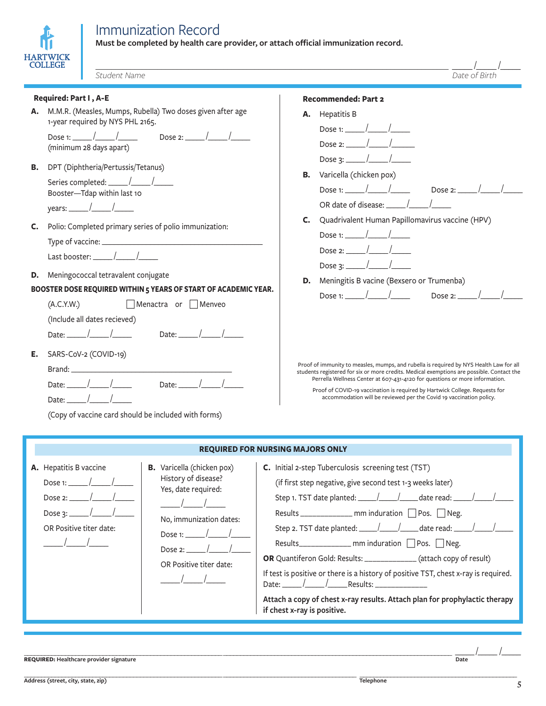

**Must be completed by health care provider, or attach official immunization record.**

| COLLEGE<br>Student Name                                                                                                                                                                                                                             | Date of Birth                                                                                                                                                                                                                                                                                                                                                                                                            |
|-----------------------------------------------------------------------------------------------------------------------------------------------------------------------------------------------------------------------------------------------------|--------------------------------------------------------------------------------------------------------------------------------------------------------------------------------------------------------------------------------------------------------------------------------------------------------------------------------------------------------------------------------------------------------------------------|
| Required: Part I, A-E                                                                                                                                                                                                                               | <b>Recommended: Part 2</b>                                                                                                                                                                                                                                                                                                                                                                                               |
| A. M.M.R. (Measles, Mumps, Rubella) Two doses given after age<br>1-year required by NYS PHL 2165.<br>(minimum 28 days apart)                                                                                                                        | <b>A.</b> Hepatitis B<br>Dose 1: $\frac{1}{2}$ /<br>Dose 2: $\frac{1}{1}$ /<br>Dose 3: $\frac{1}{\sqrt{2}}$                                                                                                                                                                                                                                                                                                              |
| <b>B.</b> DPT (Diphtheria/Pertussis/Tetanus)<br>Booster-Tdap within last 10<br>years: $\frac{\sqrt{2}}{2}$                                                                                                                                          | <b>B.</b> Varicella (chicken pox)<br>Dose 2: $\frac{\sqrt{2}}{2}$<br>OR date of disease: $\sqrt{ }$                                                                                                                                                                                                                                                                                                                      |
| Polio: Completed primary series of polio immunization:<br>C.<br>Last booster: $\frac{1}{\sqrt{2}}$                                                                                                                                                  | C. Quadrivalent Human Papillomavirus vaccine (HPV)<br>Dose 3: $\frac{\sqrt{2}}{2}$                                                                                                                                                                                                                                                                                                                                       |
| <b>D.</b> Meningococcal tetravalent conjugate<br>BOOSTER DOSE REQUIRED WITHIN 5 YEARS OF START OF ACADEMIC YEAR.<br>(A.C.Y.W.)<br>Menactra or Menveo<br>(Include all dates recieved)<br>Date: $\frac{1}{\sqrt{2}}$<br>Date: $\frac{1}{\sqrt{2\pi}}$ | <b>D.</b> Meningitis B vacine (Bexsero or Trumenba)<br>Dose 1: $\frac{1}{\sqrt{2}}$<br>Dose 2: $\frac{\sqrt{2}}{2}$                                                                                                                                                                                                                                                                                                      |
| Е.<br>SARS-CoV-2 (COVID-19)<br>Date: $\frac{1}{\sqrt{2}}$<br>Date: $\frac{1}{\sqrt{2}}$ /<br>Date: $/$<br>(Copy of vaccine card should be included with forms)                                                                                      | Proof of immunity to measles, mumps, and rubella is required by NYS Health Law for all<br>students registered for six or more credits. Medical exemptions are possible. Contact the<br>Perrella Wellness Center at 607-431-4120 for questions or more information.<br>Proof of COVID-19 vaccination is required by Hartwick College. Requests for<br>accommodation will be reviewed per the Covid 19 vaccination policy. |

| <b>REQUIRED FOR NURSING MAJORS ONLY</b>                                                                                                                                                                                                                                                           |                                                                                                                                                                                                                                                                                                                                                                                                                                                                                                                                                                                                                                                                                        |  |
|---------------------------------------------------------------------------------------------------------------------------------------------------------------------------------------------------------------------------------------------------------------------------------------------------|----------------------------------------------------------------------------------------------------------------------------------------------------------------------------------------------------------------------------------------------------------------------------------------------------------------------------------------------------------------------------------------------------------------------------------------------------------------------------------------------------------------------------------------------------------------------------------------------------------------------------------------------------------------------------------------|--|
| <b>B.</b> Varicella (chicken pox)<br>A. Hepatitis B vaccine<br>History of disease?<br>Dose 1: $\frac{1}{\sqrt{2}}$<br>Yes, date required:<br>Dose 2: $\frac{1}{1}$ /<br>No, immunization dates:<br>OR Positive titer date:<br>$\frac{1}{2}$<br>Dose 2: $\frac{1}{1}$ /<br>OR Positive titer date: | C. Initial 2-step Tuberculosis screening test (TST)<br>(if first step negative, give second test 1-3 weeks later)<br>Results _______________ mm induration $\Box$ Pos. $\Box$ Neg.<br>Step 2. TST date planted: $\frac{1}{\sqrt{1-\frac{1}{2}}}$ date read: $\frac{1}{\sqrt{1-\frac{1}{2}}}$<br>Results_______________ mm induration $\Box$ Pos. $\Box$ Neg.<br><b>OR</b> Quantiferon Gold: Results: ______________ (attach copy of result)<br>If test is positive or there is a history of positive TST, chest x-ray is required.<br>Date: $\frac{1}{\sqrt{2}}$ Results:<br>Attach a copy of chest x-ray results. Attach plan for prophylactic therapy<br>if chest x-ray is positive. |  |

\_\_\_\_\_\_\_\_\_\_\_\_\_\_\_\_\_\_\_\_\_\_\_\_\_\_\_\_\_\_\_\_\_\_\_\_\_\_\_\_\_\_\_\_\_\_\_\_\_\_\_\_\_\_\_\_\_\_ \_\_\_\_\_\_\_\_\_\_\_\_\_\_\_\_\_\_\_\_\_\_\_\_\_\_\_\_\_\_\_\_\_\_\_\_\_\_\_\_\_\_\_\_\_\_\_\_\_\_\_\_\_\_\_\_\_\_\_\_\_\_\_\_\_\_\_ \_\_\_\_\_ / \_\_\_\_\_ /\_\_\_\_\_ **REQUIRED: Healthcare provider signature Date**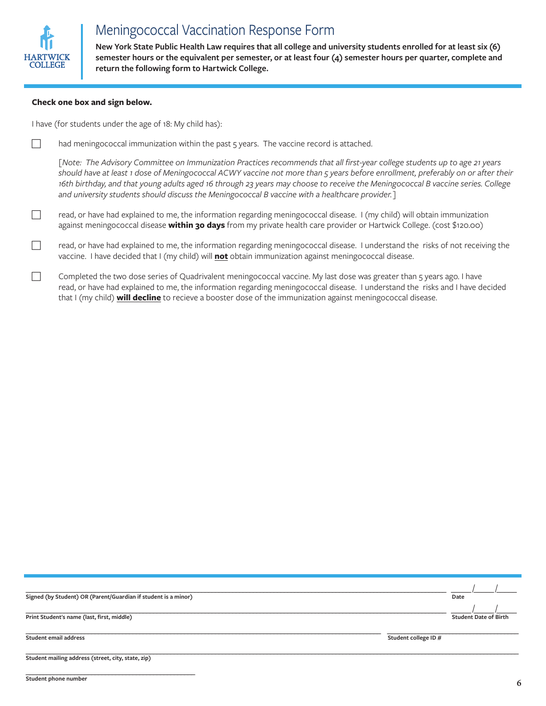

# Meningococcal Vaccination Response Form

**New York State Public Health Law requires that all college and university students enrolled for at least six (6) semester hours or the equivalent per semester, or at least four (4) semester hours per quarter, complete and return the following form to Hartwick College.** 

#### **Check one box and sign below.**

I have (for students under the age of 18: My child has):

 $\Box$  had meningococcal immunization within the past 5 years. The vaccine record is attached.

*[Note: The Advisory Committee on Immunization Practices recommends that all first-year college students up to age 21 years should have at least 1 dose of Meningococcal ACWY vaccine not more than 5 years before enrollment, preferably on or after their 16th birthday, and that young adults aged 16 through 23 years may choose to receive the Meningococcal B vaccine series. College and university students should discuss the Meningococcal B vaccine with a healthcare provider.]*

- $\Box$  read, or have had explained to me, the information regarding meningococcal disease. I (my child) will obtain immunization against meningococcal disease **within 30 days** from my private health care provider or Hartwick College. (cost \$120.00)
- c read, or have had explained to me, the information regarding meningococcal disease. I understand the risks of not receiving the vaccine. I have decided that I (my child) will **not** obtain immunization against meningococcal disease.
- Completed the two dose series of Quadrivalent meningococcal vaccine. My last dose was greater than 5 years ago. I have read, or have had explained to me, the information regarding meningococcal disease. I understand the risks and I have decided that I (my child) **will decline** to recieve a booster dose of the immunization against meningococcal disease.

| Signed (by Student) OR (Parent/Guardian if student is a minor) | Date                         |
|----------------------------------------------------------------|------------------------------|
| Print Student's name (last, first, middle)                     | <b>Student Date of Birth</b> |
| <b>Student email address</b>                                   | Student college ID #         |
| Student mailing address (street, city, state, zip)             |                              |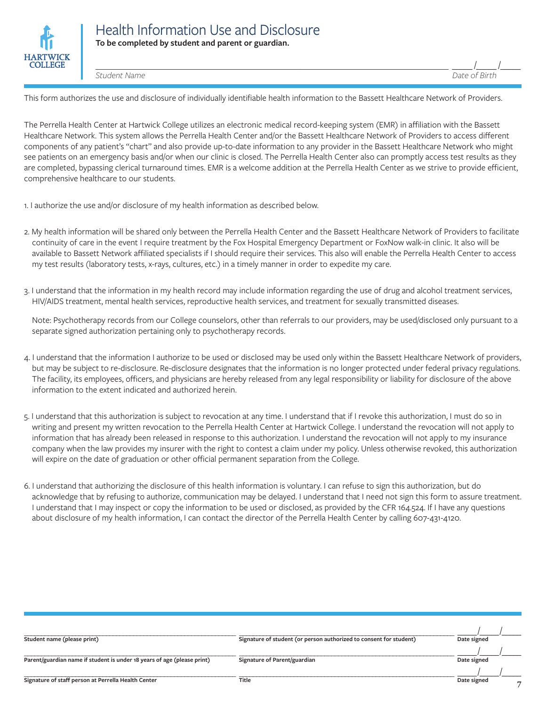

\_\_\_\_\_\_\_\_\_\_\_\_\_\_\_\_\_\_\_\_\_\_\_\_\_\_\_\_\_\_\_\_\_\_\_\_\_\_\_\_\_\_\_\_\_\_\_\_\_\_\_\_\_\_\_\_\_\_\_\_\_\_\_\_\_\_\_\_\_\_\_\_\_\_\_\_\_\_\_\_\_\_\_\_\_\_\_\_\_\_\_ \_\_\_\_\_ /\_\_\_\_\_ /\_\_\_\_\_

*Student Name Date of Birth*

This form authorizes the use and disclosure of individually identifiable health information to the Bassett Healthcare Network of Providers.

The Perrella Health Center at Hartwick College utilizes an electronic medical record-keeping system (EMR) in affiliation with the Bassett Healthcare Network. This system allows the Perrella Health Center and/or the Bassett Healthcare Network of Providers to access different components of any patient's "chart" and also provide up-to-date information to any provider in the Bassett Healthcare Network who might see patients on an emergency basis and/or when our clinic is closed. The Perrella Health Center also can promptly access test results as they are completed, bypassing clerical turnaround times. EMR is a welcome addition at the Perrella Health Center as we strive to provide efficient, comprehensive healthcare to our students.

- 1. I authorize the use and/or disclosure of my health information as described below.
- 2. My health information will be shared only between the Perrella Health Center and the Bassett Healthcare Network of Providers to facilitate continuity of care in the event I require treatment by the Fox Hospital Emergency Department or FoxNow walk-in clinic. It also will be available to Bassett Network affiliated specialists if I should require their services. This also will enable the Perrella Health Center to access my test results (laboratory tests, x-rays, cultures, etc.) in a timely manner in order to expedite my care.
- 3. I understand that the information in my health record may include information regarding the use of drug and alcohol treatment services, HIV/AIDS treatment, mental health services, reproductive health services, and treatment for sexually transmitted diseases.

Note: Psychotherapy records from our College counselors, other than referrals to our providers, may be used/disclosed only pursuant to a separate signed authorization pertaining only to psychotherapy records.

- 4. I understand that the information I authorize to be used or disclosed may be used only within the Bassett Healthcare Network of providers, but may be subject to re-disclosure. Re-disclosure designates that the information is no longer protected under federal privacy regulations. The facility, its employees, officers, and physicians are hereby released from any legal responsibility or liability for disclosure of the above information to the extent indicated and authorized herein.
- 5. I understand that this authorization is subject to revocation at any time. I understand that if I revoke this authorization, I must do so in writing and present my written revocation to the Perrella Health Center at Hartwick College. I understand the revocation will not apply to information that has already been released in response to this authorization. I understand the revocation will not apply to my insurance company when the law provides my insurer with the right to contest a claim under my policy. Unless otherwise revoked, this authorization will expire on the date of graduation or other official permanent separation from the College.
- 6. I understand that authorizing the disclosure of this health information is voluntary. I can refuse to sign this authorization, but do acknowledge that by refusing to authorize, communication may be delayed. I understand that I need not sign this form to assure treatment. I understand that I may inspect or copy the information to be used or disclosed, as provided by the CFR 164.524. If I have any questions about disclosure of my health information, I can contact the director of the Perrella Health Center by calling 607-431-4120.

| Student name (please print)                                             | Signature of student (or person authorized to consent for student) | Date signed |
|-------------------------------------------------------------------------|--------------------------------------------------------------------|-------------|
| Parent/guardian name if student is under 18 years of age (please print) | Signature of Parent/guardian                                       | Date signed |
| Signature of staff person at Perrella Health Center                     | Title                                                              | Date signed |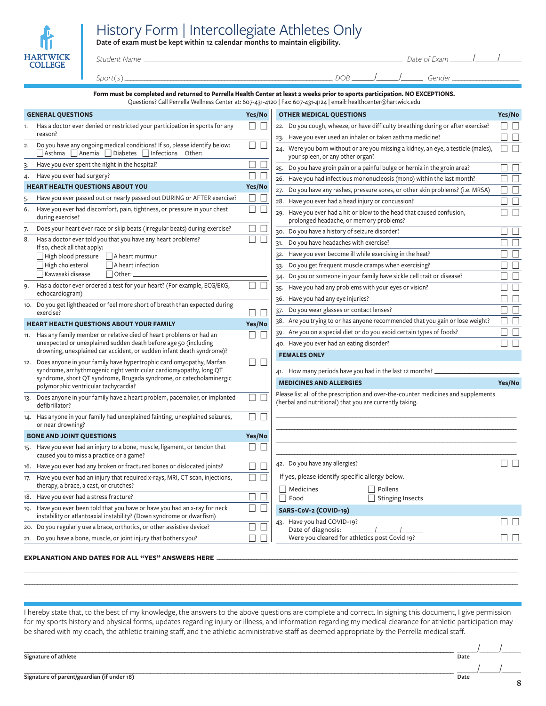# History Form | Intercollegiate Athletes Only

**Date of exam must be kept within 12 calendar months to maintain eligibility.**

| Ⅲ                                 |  |
|-----------------------------------|--|
| <b>HARTWICK</b><br><b>COLLEGE</b> |  |

### *Student Name* \_\_\_\_\_\_\_\_\_\_\_\_\_\_\_\_\_\_\_\_\_\_\_\_\_\_\_\_\_\_\_\_\_\_\_\_\_\_\_\_\_\_\_\_\_\_\_\_\_\_\_\_\_\_\_\_\_\_\_\_\_\_\_\_\_\_\_\_\_\_\_\_\_\_\_\_\_\_\_\_\_\_\_\_\_\_\_ *Date of Exam* \_\_\_\_\_\_ /

| Date of Exam |  |  |
|--------------|--|--|
|              |  |  |

\_\_\_\_\_\_ *Gender \_\_\_\_\_\_\_\_\_\_\_\_\_\_\_\_\_\_\_\_\_\_*

 $\overline{\phantom{a}}$ 

 $\overline{\phantom{a}}$ 

| ∼<br>- |  |  |
|--------|--|--|
|        |  |  |

#### **Form must be completed and returned to Perrella Health Center at least 2 weeks prior to sports participation. NO EXCEPTIONS.** Questions? Call Perrella Wellness Center at: 607-431-4120 | Fax: 607-431-4124 | email: healthcenter@hartwick.edu

| <b>GENERAL QUESTIONS</b><br>Has a doctor ever denied or restricted your participation in sports for any<br>reason?<br>Do you have any ongoing medical conditions? If so, please identify below:<br>Asthma Anemia Diabetes Infections Other:<br>Have you ever spent the night in the hospital?<br>Have you ever had surgery?<br><b>HEART HEALTH QUESTIONS ABOUT YOU</b><br>Have you ever passed out or nearly passed out DURING or AFTER exercise?<br>Have you ever had discomfort, pain, tightness, or pressure in your chest<br>during exercise?<br>Does your heart ever race or skip beats (irregular beats) during exercise?<br>Has a doctor ever told you that you have any heart problems? | Yes/No<br>$\Box$ $\Box$<br>$\Box$<br>$\begin{array}{ccc} \hline \end{array}$<br>$\Box$<br>$\Box$<br>$\Box$<br>⊔<br>Yes/No<br>⊔<br>$\Box$<br>$\Box$<br>$\Box$                                                                                                                                                                                              | <b>OTHER MEDICAL QUESTIONS</b><br>22. Do you cough, wheeze, or have difficulty breathing during or after exercise?<br>23. Have you ever used an inhaler or taken asthma medicine?<br>24. Were you born without or are you missing a kidney, an eye, a testicle (males),<br>your spleen, or any other organ?<br>25. Do you have groin pain or a painful bulge or hernia in the groin area?<br>26. Have you had infectious mononucleosis (mono) within the last month?<br>27. Do you have any rashes, pressure sores, or other skin problems? (i.e. MRSA)<br>28. Have you ever had a head injury or concussion?<br>Have you ever had a hit or blow to the head that caused confusion,<br>29. | Yes/No<br>$\Box$<br>$\Box$ $\Box$<br>$\Box$ $\Box$<br>$\perp$<br>H<br>$\Box$ $\Box$<br>$\Box$ $\Box$                                                                                                                                                                                                                                                                                                                                                                                                                                                                                                               | $\Box$<br>$\Box$                                                                                                                                                                    |
|-------------------------------------------------------------------------------------------------------------------------------------------------------------------------------------------------------------------------------------------------------------------------------------------------------------------------------------------------------------------------------------------------------------------------------------------------------------------------------------------------------------------------------------------------------------------------------------------------------------------------------------------------------------------------------------------------|-----------------------------------------------------------------------------------------------------------------------------------------------------------------------------------------------------------------------------------------------------------------------------------------------------------------------------------------------------------|--------------------------------------------------------------------------------------------------------------------------------------------------------------------------------------------------------------------------------------------------------------------------------------------------------------------------------------------------------------------------------------------------------------------------------------------------------------------------------------------------------------------------------------------------------------------------------------------------------------------------------------------------------------------------------------------|--------------------------------------------------------------------------------------------------------------------------------------------------------------------------------------------------------------------------------------------------------------------------------------------------------------------------------------------------------------------------------------------------------------------------------------------------------------------------------------------------------------------------------------------------------------------------------------------------------------------|-------------------------------------------------------------------------------------------------------------------------------------------------------------------------------------|
|                                                                                                                                                                                                                                                                                                                                                                                                                                                                                                                                                                                                                                                                                                 |                                                                                                                                                                                                                                                                                                                                                           |                                                                                                                                                                                                                                                                                                                                                                                                                                                                                                                                                                                                                                                                                            |                                                                                                                                                                                                                                                                                                                                                                                                                                                                                                                                                                                                                    |                                                                                                                                                                                     |
|                                                                                                                                                                                                                                                                                                                                                                                                                                                                                                                                                                                                                                                                                                 |                                                                                                                                                                                                                                                                                                                                                           |                                                                                                                                                                                                                                                                                                                                                                                                                                                                                                                                                                                                                                                                                            |                                                                                                                                                                                                                                                                                                                                                                                                                                                                                                                                                                                                                    |                                                                                                                                                                                     |
|                                                                                                                                                                                                                                                                                                                                                                                                                                                                                                                                                                                                                                                                                                 |                                                                                                                                                                                                                                                                                                                                                           |                                                                                                                                                                                                                                                                                                                                                                                                                                                                                                                                                                                                                                                                                            |                                                                                                                                                                                                                                                                                                                                                                                                                                                                                                                                                                                                                    |                                                                                                                                                                                     |
|                                                                                                                                                                                                                                                                                                                                                                                                                                                                                                                                                                                                                                                                                                 |                                                                                                                                                                                                                                                                                                                                                           |                                                                                                                                                                                                                                                                                                                                                                                                                                                                                                                                                                                                                                                                                            |                                                                                                                                                                                                                                                                                                                                                                                                                                                                                                                                                                                                                    |                                                                                                                                                                                     |
|                                                                                                                                                                                                                                                                                                                                                                                                                                                                                                                                                                                                                                                                                                 |                                                                                                                                                                                                                                                                                                                                                           |                                                                                                                                                                                                                                                                                                                                                                                                                                                                                                                                                                                                                                                                                            |                                                                                                                                                                                                                                                                                                                                                                                                                                                                                                                                                                                                                    |                                                                                                                                                                                     |
|                                                                                                                                                                                                                                                                                                                                                                                                                                                                                                                                                                                                                                                                                                 |                                                                                                                                                                                                                                                                                                                                                           |                                                                                                                                                                                                                                                                                                                                                                                                                                                                                                                                                                                                                                                                                            |                                                                                                                                                                                                                                                                                                                                                                                                                                                                                                                                                                                                                    |                                                                                                                                                                                     |
|                                                                                                                                                                                                                                                                                                                                                                                                                                                                                                                                                                                                                                                                                                 |                                                                                                                                                                                                                                                                                                                                                           |                                                                                                                                                                                                                                                                                                                                                                                                                                                                                                                                                                                                                                                                                            |                                                                                                                                                                                                                                                                                                                                                                                                                                                                                                                                                                                                                    |                                                                                                                                                                                     |
|                                                                                                                                                                                                                                                                                                                                                                                                                                                                                                                                                                                                                                                                                                 |                                                                                                                                                                                                                                                                                                                                                           |                                                                                                                                                                                                                                                                                                                                                                                                                                                                                                                                                                                                                                                                                            |                                                                                                                                                                                                                                                                                                                                                                                                                                                                                                                                                                                                                    |                                                                                                                                                                                     |
|                                                                                                                                                                                                                                                                                                                                                                                                                                                                                                                                                                                                                                                                                                 |                                                                                                                                                                                                                                                                                                                                                           | ┓┍<br>prolonged headache, or memory problems?                                                                                                                                                                                                                                                                                                                                                                                                                                                                                                                                                                                                                                              |                                                                                                                                                                                                                                                                                                                                                                                                                                                                                                                                                                                                                    |                                                                                                                                                                                     |
|                                                                                                                                                                                                                                                                                                                                                                                                                                                                                                                                                                                                                                                                                                 |                                                                                                                                                                                                                                                                                                                                                           | 30. Do you have a history of seizure disorder?                                                                                                                                                                                                                                                                                                                                                                                                                                                                                                                                                                                                                                             | $\Box$ $\Box$                                                                                                                                                                                                                                                                                                                                                                                                                                                                                                                                                                                                      |                                                                                                                                                                                     |
|                                                                                                                                                                                                                                                                                                                                                                                                                                                                                                                                                                                                                                                                                                 | $\vert \ \ \vert$<br>$\Box$                                                                                                                                                                                                                                                                                                                               | Do you have headaches with exercise?<br>31.                                                                                                                                                                                                                                                                                                                                                                                                                                                                                                                                                                                                                                                | $\Box$ $\Box$                                                                                                                                                                                                                                                                                                                                                                                                                                                                                                                                                                                                      |                                                                                                                                                                                     |
| If so, check all that apply:                                                                                                                                                                                                                                                                                                                                                                                                                                                                                                                                                                                                                                                                    |                                                                                                                                                                                                                                                                                                                                                           | 32. Have you ever become ill while exercising in the heat?                                                                                                                                                                                                                                                                                                                                                                                                                                                                                                                                                                                                                                 | $\Box$ $\Box$                                                                                                                                                                                                                                                                                                                                                                                                                                                                                                                                                                                                      |                                                                                                                                                                                     |
|                                                                                                                                                                                                                                                                                                                                                                                                                                                                                                                                                                                                                                                                                                 |                                                                                                                                                                                                                                                                                                                                                           |                                                                                                                                                                                                                                                                                                                                                                                                                                                                                                                                                                                                                                                                                            |                                                                                                                                                                                                                                                                                                                                                                                                                                                                                                                                                                                                                    |                                                                                                                                                                                     |
| Kawasaki disease<br>$\Box$ Other:                                                                                                                                                                                                                                                                                                                                                                                                                                                                                                                                                                                                                                                               |                                                                                                                                                                                                                                                                                                                                                           |                                                                                                                                                                                                                                                                                                                                                                                                                                                                                                                                                                                                                                                                                            |                                                                                                                                                                                                                                                                                                                                                                                                                                                                                                                                                                                                                    |                                                                                                                                                                                     |
| Has a doctor ever ordered a test for your heart? (For example, ECG/EKG,                                                                                                                                                                                                                                                                                                                                                                                                                                                                                                                                                                                                                         | $\Box$<br>$\Box$                                                                                                                                                                                                                                                                                                                                          |                                                                                                                                                                                                                                                                                                                                                                                                                                                                                                                                                                                                                                                                                            |                                                                                                                                                                                                                                                                                                                                                                                                                                                                                                                                                                                                                    |                                                                                                                                                                                     |
| echocardiogram)                                                                                                                                                                                                                                                                                                                                                                                                                                                                                                                                                                                                                                                                                 |                                                                                                                                                                                                                                                                                                                                                           |                                                                                                                                                                                                                                                                                                                                                                                                                                                                                                                                                                                                                                                                                            |                                                                                                                                                                                                                                                                                                                                                                                                                                                                                                                                                                                                                    |                                                                                                                                                                                     |
| 10. Do you get lightheaded or feel more short of breath than expected during                                                                                                                                                                                                                                                                                                                                                                                                                                                                                                                                                                                                                    |                                                                                                                                                                                                                                                                                                                                                           |                                                                                                                                                                                                                                                                                                                                                                                                                                                                                                                                                                                                                                                                                            |                                                                                                                                                                                                                                                                                                                                                                                                                                                                                                                                                                                                                    |                                                                                                                                                                                     |
|                                                                                                                                                                                                                                                                                                                                                                                                                                                                                                                                                                                                                                                                                                 |                                                                                                                                                                                                                                                                                                                                                           |                                                                                                                                                                                                                                                                                                                                                                                                                                                                                                                                                                                                                                                                                            |                                                                                                                                                                                                                                                                                                                                                                                                                                                                                                                                                                                                                    |                                                                                                                                                                                     |
|                                                                                                                                                                                                                                                                                                                                                                                                                                                                                                                                                                                                                                                                                                 |                                                                                                                                                                                                                                                                                                                                                           |                                                                                                                                                                                                                                                                                                                                                                                                                                                                                                                                                                                                                                                                                            |                                                                                                                                                                                                                                                                                                                                                                                                                                                                                                                                                                                                                    |                                                                                                                                                                                     |
| 11.                                                                                                                                                                                                                                                                                                                                                                                                                                                                                                                                                                                                                                                                                             |                                                                                                                                                                                                                                                                                                                                                           |                                                                                                                                                                                                                                                                                                                                                                                                                                                                                                                                                                                                                                                                                            |                                                                                                                                                                                                                                                                                                                                                                                                                                                                                                                                                                                                                    |                                                                                                                                                                                     |
| drowning, unexplained car accident, or sudden infant death syndrome)?                                                                                                                                                                                                                                                                                                                                                                                                                                                                                                                                                                                                                           |                                                                                                                                                                                                                                                                                                                                                           |                                                                                                                                                                                                                                                                                                                                                                                                                                                                                                                                                                                                                                                                                            |                                                                                                                                                                                                                                                                                                                                                                                                                                                                                                                                                                                                                    |                                                                                                                                                                                     |
| 12. Does anyone in your family have hypertrophic cardiomyopathy, Marfan<br>syndrome, arrhythmogenic right ventricular cardiomyopathy, long QT<br>syndrome, short QT syndrome, Brugada syndrome, or catecholaminergic<br>polymorphic ventricular tachycardia?                                                                                                                                                                                                                                                                                                                                                                                                                                    |                                                                                                                                                                                                                                                                                                                                                           | 41. How many periods have you had in the last 12 months? _                                                                                                                                                                                                                                                                                                                                                                                                                                                                                                                                                                                                                                 |                                                                                                                                                                                                                                                                                                                                                                                                                                                                                                                                                                                                                    |                                                                                                                                                                                     |
|                                                                                                                                                                                                                                                                                                                                                                                                                                                                                                                                                                                                                                                                                                 |                                                                                                                                                                                                                                                                                                                                                           | <b>MEDICINES AND ALLERGIES</b>                                                                                                                                                                                                                                                                                                                                                                                                                                                                                                                                                                                                                                                             |                                                                                                                                                                                                                                                                                                                                                                                                                                                                                                                                                                                                                    |                                                                                                                                                                                     |
| Does anyone in your family have a heart problem, pacemaker, or implanted<br>defibrillator?                                                                                                                                                                                                                                                                                                                                                                                                                                                                                                                                                                                                      | П<br>П                                                                                                                                                                                                                                                                                                                                                    | Please list all of the prescription and over-the-counter medicines and supplements<br>(herbal and nutritional) that you are currently taking.                                                                                                                                                                                                                                                                                                                                                                                                                                                                                                                                              |                                                                                                                                                                                                                                                                                                                                                                                                                                                                                                                                                                                                                    |                                                                                                                                                                                     |
| 14. Has anyone in your family had unexplained fainting, unexplained seizures,<br>or near drowning?                                                                                                                                                                                                                                                                                                                                                                                                                                                                                                                                                                                              | $\Box$<br>$\Box$                                                                                                                                                                                                                                                                                                                                          |                                                                                                                                                                                                                                                                                                                                                                                                                                                                                                                                                                                                                                                                                            |                                                                                                                                                                                                                                                                                                                                                                                                                                                                                                                                                                                                                    |                                                                                                                                                                                     |
| <b>BONE AND JOINT QUESTIONS</b>                                                                                                                                                                                                                                                                                                                                                                                                                                                                                                                                                                                                                                                                 | Yes/No                                                                                                                                                                                                                                                                                                                                                    |                                                                                                                                                                                                                                                                                                                                                                                                                                                                                                                                                                                                                                                                                            |                                                                                                                                                                                                                                                                                                                                                                                                                                                                                                                                                                                                                    |                                                                                                                                                                                     |
| 15. Have you ever had an injury to a bone, muscle, ligament, or tendon that<br>caused you to miss a practice or a game?                                                                                                                                                                                                                                                                                                                                                                                                                                                                                                                                                                         | ⊔                                                                                                                                                                                                                                                                                                                                                         |                                                                                                                                                                                                                                                                                                                                                                                                                                                                                                                                                                                                                                                                                            |                                                                                                                                                                                                                                                                                                                                                                                                                                                                                                                                                                                                                    |                                                                                                                                                                                     |
| 16. Have you ever had any broken or fractured bones or dislocated joints?                                                                                                                                                                                                                                                                                                                                                                                                                                                                                                                                                                                                                       | П<br>П                                                                                                                                                                                                                                                                                                                                                    | 42. Do you have any allergies?                                                                                                                                                                                                                                                                                                                                                                                                                                                                                                                                                                                                                                                             |                                                                                                                                                                                                                                                                                                                                                                                                                                                                                                                                                                                                                    |                                                                                                                                                                                     |
| Have you ever had an injury that required x-rays, MRI, CT scan, injections,<br>therapy, a brace, a cast, or crutches?                                                                                                                                                                                                                                                                                                                                                                                                                                                                                                                                                                           | П<br>П                                                                                                                                                                                                                                                                                                                                                    | If yes, please identify specific allergy below.                                                                                                                                                                                                                                                                                                                                                                                                                                                                                                                                                                                                                                            |                                                                                                                                                                                                                                                                                                                                                                                                                                                                                                                                                                                                                    |                                                                                                                                                                                     |
| 18. Have you ever had a stress fracture?                                                                                                                                                                                                                                                                                                                                                                                                                                                                                                                                                                                                                                                        | $\Box$<br>П                                                                                                                                                                                                                                                                                                                                               |                                                                                                                                                                                                                                                                                                                                                                                                                                                                                                                                                                                                                                                                                            |                                                                                                                                                                                                                                                                                                                                                                                                                                                                                                                                                                                                                    |                                                                                                                                                                                     |
| Have you ever been told that you have or have you had an x-ray for neck<br>instability or atlantoaxial instability? (Down syndrome or dwarfism)                                                                                                                                                                                                                                                                                                                                                                                                                                                                                                                                                 | П<br>П                                                                                                                                                                                                                                                                                                                                                    | SARS-CoV-2 (COVID-19)                                                                                                                                                                                                                                                                                                                                                                                                                                                                                                                                                                                                                                                                      |                                                                                                                                                                                                                                                                                                                                                                                                                                                                                                                                                                                                                    |                                                                                                                                                                                     |
| 20. Do you regularly use a brace, orthotics, or other assistive device?                                                                                                                                                                                                                                                                                                                                                                                                                                                                                                                                                                                                                         | $\Box$<br>$\Box$                                                                                                                                                                                                                                                                                                                                          | 43. Have you had COVID-19?                                                                                                                                                                                                                                                                                                                                                                                                                                                                                                                                                                                                                                                                 |                                                                                                                                                                                                                                                                                                                                                                                                                                                                                                                                                                                                                    |                                                                                                                                                                                     |
| 21. Do you have a bone, muscle, or joint injury that bothers you?                                                                                                                                                                                                                                                                                                                                                                                                                                                                                                                                                                                                                               | П<br>$\vert \ \ \vert$                                                                                                                                                                                                                                                                                                                                    | Were you cleared for athletics post Covid 19?                                                                                                                                                                                                                                                                                                                                                                                                                                                                                                                                                                                                                                              |                                                                                                                                                                                                                                                                                                                                                                                                                                                                                                                                                                                                                    |                                                                                                                                                                                     |
|                                                                                                                                                                                                                                                                                                                                                                                                                                                                                                                                                                                                                                                                                                 | High blood pressure<br>A heart murmur<br>High cholesterol<br>$\Box$ A heart infection<br>exercise?<br><b>HEART HEALTH QUESTIONS ABOUT YOUR FAMILY</b><br>Has any family member or relative died of heart problems or had an<br>unexpected or unexplained sudden death before age 50 (including<br><b>EXPLANATION AND DATES FOR ALL "YES" ANSWERS HERE</b> | $\Box$<br>$\Box$<br>Yes/No<br>П<br>$\square$ $\square$                                                                                                                                                                                                                                                                                                                                                                                                                                                                                                                                                                                                                                     | Do you get frequent muscle cramps when exercising?<br>33.<br>Do you or someone in your family have sickle cell trait or disease?<br>34.<br>35. Have you had any problems with your eyes or vision?<br>36. Have you had any eye injuries?<br>Do you wear glasses or contact lenses?<br>$37 -$<br>38. Are you trying to or has anyone recommended that you gain or lose weight?<br>39. Are you on a special diet or do you avoid certain types of foods?<br>40. Have you ever had an eating disorder?<br><b>FEMALES ONLY</b><br>Medicines<br>Pollens<br>$\Box$ Food<br><b>Stinging Insects</b><br>Date of diagnosis: | $\Box$ $\Box$<br>a la<br>$\square$ $\square$<br>$\Box$ $\Box$<br>$\Box$ $\Box$<br>$\square$ $\square$<br>$\Box$ $\Box$<br>$\Box$ $\Box$<br>Yes/No<br>$\Box$ $\Box$<br>$\Box$ $\Box$ |

I hereby state that, to the best of my knowledge, the answers to the above questions are complete and correct. In signing this document, I give permission for my sports history and physical forms, updates regarding injury or illness, and information regarding my medical clearance for athletic participation may be shared with my coach, the athletic training staff, and the athletic administrative staff as deemed appropriate by the Perrella medical staff.

\_\_\_\_\_\_\_\_\_\_\_\_\_\_\_\_\_\_\_\_\_\_\_\_\_\_\_\_\_\_\_\_\_\_\_\_\_\_\_\_\_\_\_\_\_\_\_\_\_\_\_\_\_\_\_\_\_\_\_\_\_\_\_\_\_\_\_\_\_\_\_\_\_\_\_\_\_\_\_\_\_\_\_\_\_\_\_\_\_\_\_\_\_\_\_\_\_\_\_\_\_\_\_\_\_\_\_\_\_\_\_\_\_\_\_\_\_\_\_\_\_\_\_\_\_\_\_\_\_\_\_\_\_\_\_\_\_\_\_\_\_\_\_\_\_\_\_\_\_\_\_\_\_\_\_\_\_\_\_\_\_\_\_\_\_\_\_\_\_\_\_\_\_\_\_\_\_\_\_\_\_\_\_\_\_\_\_ \_\_\_\_\_\_\_\_\_\_\_\_\_\_\_\_\_\_\_\_\_\_\_\_\_\_\_\_\_\_\_\_\_\_\_\_\_\_\_\_\_\_\_\_\_\_\_\_\_\_\_\_\_\_\_\_\_\_\_\_\_\_\_\_\_\_\_\_\_\_\_\_\_\_\_\_\_\_\_\_\_\_\_\_\_\_\_\_\_\_\_\_\_\_\_\_\_\_\_\_\_\_\_\_\_\_\_\_\_\_\_\_\_\_\_\_\_\_\_\_\_\_\_\_\_\_\_\_\_\_\_\_\_\_\_\_\_\_\_\_\_\_\_\_\_\_\_\_\_\_\_\_\_\_\_\_\_\_\_\_\_\_\_\_\_\_\_\_\_\_\_\_\_\_\_\_\_\_\_\_\_\_\_\_\_\_\_ \_\_\_\_\_\_\_\_\_\_\_\_\_\_\_\_\_\_\_\_\_\_\_\_\_\_\_\_\_\_\_\_\_\_\_\_\_\_\_\_\_\_\_\_\_\_\_\_\_\_\_\_\_\_\_\_\_\_\_\_\_\_\_\_\_\_\_\_\_\_\_\_\_\_\_\_\_\_\_\_\_\_\_\_\_\_\_\_\_\_\_\_\_\_\_\_\_\_\_\_\_\_\_\_\_\_\_\_\_\_\_\_\_\_\_\_\_\_\_\_\_\_\_\_\_\_\_\_\_\_\_\_\_\_\_\_\_\_\_\_\_\_\_\_\_\_\_\_\_\_\_\_\_\_\_\_\_\_\_\_\_\_\_\_\_\_\_\_\_\_\_\_\_\_\_\_\_\_\_\_\_\_\_\_\_\_\_

\_\_\_\_\_\_\_\_\_\_\_\_\_\_\_\_\_\_\_\_\_\_\_\_\_\_\_\_\_\_\_\_\_\_\_\_\_\_\_\_\_\_\_\_\_\_\_\_\_\_\_\_\_\_\_\_\_\_\_\_\_\_\_\_\_\_\_\_\_\_\_\_\_\_\_\_\_\_\_\_\_\_\_\_\_\_\_\_\_\_\_\_\_\_\_\_\_\_\_\_\_\_\_\_\_\_\_\_\_\_\_\_\_\_\_\_\_\_\_\_\_\_\_\_\_\_ \_\_\_\_\_ /\_\_\_\_\_ /\_\_\_\_\_ **Signature of athlete Date**